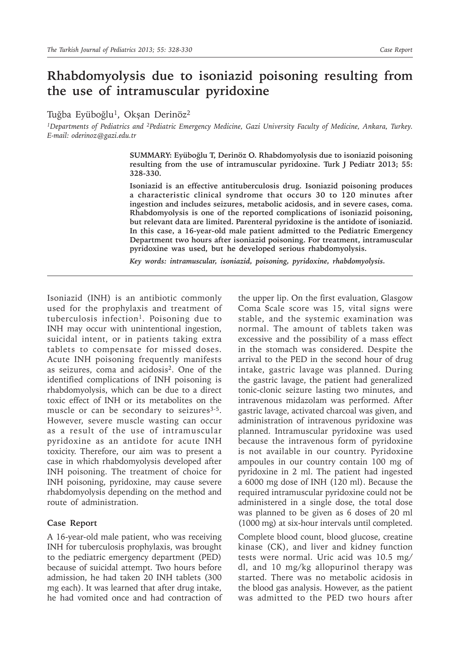## **Rhabdomyolysis due to isoniazid poisoning resulting from the use of intramuscular pyridoxine**

Tuğba Eyüboğlu<sup>1</sup>, Okşan Derinöz<sup>2</sup>

*1Departments of Pediatrics and 2Pediatric Emergency Medicine, Gazi University Faculty of Medicine, Ankara, Turkey. E-mail: oderinoz@gazi.edu.tr*

> **SUMMARY: Eyüboğlu T, Derinöz O. Rhabdomyolysis due to isoniazid poisoning resulting from the use of intramuscular pyridoxine. Turk J Pediatr 2013; 55: 328-330.**

> **Isoniazid is an effective antituberculosis drug. Isoniazid poisoning produces a characteristic clinical syndrome that occurs 30 to 120 minutes after ingestion and includes seizures, metabolic acidosis, and in severe cases, coma. Rhabdomyolysis is one of the reported complications of isoniazid poisoning, but relevant data are limited. Parenteral pyridoxine is the antidote of isoniazid. In this case, a 16-year-old male patient admitted to the Pediatric Emergency Department two hours after isoniazid poisoning. For treatment, intramuscular pyridoxine was used, but he developed serious rhabdomyolysis.**

*Key words: intramuscular, isoniazid, poisoning, pyridoxine, rhabdomyolysis.*

Isoniazid (INH) is an antibiotic commonly used for the prophylaxis and treatment of tuberculosis infection<sup>1</sup>. Poisoning due to INH may occur with unintentional ingestion, suicidal intent, or in patients taking extra tablets to compensate for missed doses. Acute INH poisoning frequently manifests as seizures, coma and acidosis<sup>2</sup>. One of the identified complications of INH poisoning is rhabdomyolysis, which can be due to a direct toxic effect of INH or its metabolites on the muscle or can be secondary to seizures<sup>3-5</sup>. However, severe muscle wasting can occur as a result of the use of intramuscular pyridoxine as an antidote for acute INH toxicity. Therefore, our aim was to present a case in which rhabdomyolysis developed after INH poisoning. The treatment of choice for INH poisoning, pyridoxine, may cause severe rhabdomyolysis depending on the method and route of administration.

## **Case Report**

A 16-year-old male patient, who was receiving INH for tuberculosis prophylaxis, was brought to the pediatric emergency department (PED) because of suicidal attempt. Two hours before admission, he had taken 20 INH tablets (300 mg each). It was learned that after drug intake, he had vomited once and had contraction of

the upper lip. On the first evaluation, Glasgow Coma Scale score was 15, vital signs were stable, and the systemic examination was normal. The amount of tablets taken was excessive and the possibility of a mass effect in the stomach was considered. Despite the arrival to the PED in the second hour of drug intake, gastric lavage was planned. During the gastric lavage, the patient had generalized tonic-clonic seizure lasting two minutes, and intravenous midazolam was performed. After gastric lavage, activated charcoal was given, and administration of intravenous pyridoxine was planned. Intramuscular pyridoxine was used because the intravenous form of pyridoxine is not available in our country. Pyridoxine ampoules in our country contain 100 mg of pyridoxine in 2 ml. The patient had ingested a 6000 mg dose of INH (120 ml). Because the required intramuscular pyridoxine could not be administered in a single dose, the total dose was planned to be given as 6 doses of 20 ml (1000 mg) at six-hour intervals until completed.

Complete blood count, blood glucose, creatine kinase (CK), and liver and kidney function tests were normal. Uric acid was 10.5 mg/ dl, and 10 mg/kg allopurinol therapy was started. There was no metabolic acidosis in the blood gas analysis. However, as the patient was admitted to the PED two hours after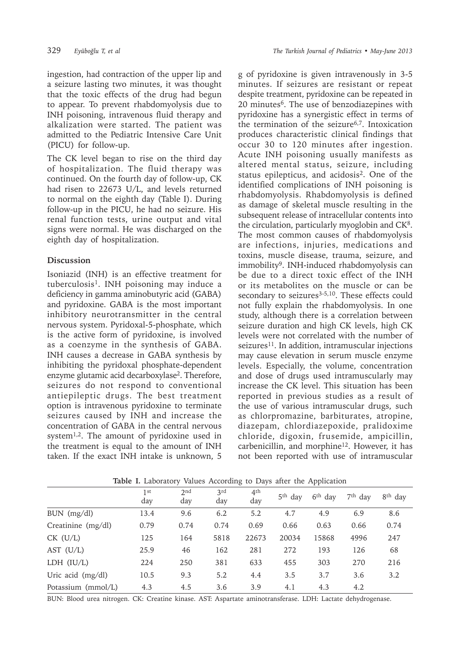ingestion, had contraction of the upper lip and a seizure lasting two minutes, it was thought that the toxic effects of the drug had begun to appear. To prevent rhabdomyolysis due to INH poisoning, intravenous fluid therapy and alkalization were started. The patient was admitted to the Pediatric Intensive Care Unit (PICU) for follow-up.

The CK level began to rise on the third day of hospitalization. The fluid therapy was continued. On the fourth day of follow-up, CK had risen to 22673 U/L, and levels returned to normal on the eighth day (Table I). During follow-up in the PICU, he had no seizure. His renal function tests, urine output and vital signs were normal. He was discharged on the eighth day of hospitalization.

## **Discussion**

Isoniazid (INH) is an effective treatment for tuberculosis<sup>1</sup>. INH poisoning may induce a deficiency in gamma aminobutyric acid (GABA) and pyridoxine. GABA is the most important inhibitory neurotransmitter in the central nervous system. Pyridoxal-5-phosphate, which is the active form of pyridoxine, is involved as a coenzyme in the synthesis of GABA. INH causes a decrease in GABA synthesis by inhibiting the pyridoxal phosphate-dependent enzyme glutamic acid decarboxylase<sup>2</sup>. Therefore, seizures do not respond to conventional antiepileptic drugs. The best treatment option is intravenous pyridoxine to terminate seizures caused by INH and increase the concentration of GABA in the central nervous system<sup>1,2</sup>. The amount of pyridoxine used in the treatment is equal to the amount of INH taken. If the exact INH intake is unknown, 5

g of pyridoxine is given intravenously in 3-5 minutes. If seizures are resistant or repeat despite treatment, pyridoxine can be repeated in 20 minutes<sup>6</sup>. The use of benzodiazepines with pyridoxine has a synergistic effect in terms of the termination of the seizure<sup>6,7</sup>. Intoxication produces characteristic clinical findings that occur 30 to 120 minutes after ingestion. Acute INH poisoning usually manifests as altered mental status, seizure, including status epilepticus, and acidosis<sup>2</sup>. One of the identified complications of INH poisoning is rhabdomyolysis. Rhabdomyolysis is defined as damage of skeletal muscle resulting in the subsequent release of intracellular contents into the circulation, particularly myoglobin and CK<sup>8</sup>. The most common causes of rhabdomyolysis are infections, injuries, medications and toxins, muscle disease, trauma, seizure, and immobility<sup>9</sup>. INH-induced rhabdomyolysis can be due to a direct toxic effect of the INH or its metabolites on the muscle or can be secondary to seizures<sup>3-5,10</sup>. These effects could not fully explain the rhabdomyolysis. In one study, although there is a correlation between seizure duration and high CK levels, high CK levels were not correlated with the number of seizures<sup>11</sup>. In addition, intramuscular injections may cause elevation in serum muscle enzyme levels. Especially, the volume, concentration and dose of drugs used intramuscularly may increase the CK level. This situation has been reported in previous studies as a result of the use of various intramuscular drugs, such as chlorpromazine, barbiturates, atropine, diazepam, chlordiazepoxide, pralidoxime chloride, digoxin, frusemide, ampicillin, carbenicillin, and morphine<sup>12</sup>. However, it has not been reported with use of intramuscular

|                    |            | $\epsilon$ |            | $\check{ }$            |           | . .                 |           |                     |
|--------------------|------------|------------|------------|------------------------|-----------|---------------------|-----------|---------------------|
|                    | 1st<br>day | 2nd<br>day | 3rd<br>day | 4 <sup>th</sup><br>day | $5th$ day | 6 <sup>th</sup> day | $7th$ dav | 8 <sup>th</sup> day |
| $BUN$ (mg/dl)      | 13.4       | 9.6        | 6.2        | 5.2                    | 4.7       | 4.9                 | 6.9       | 8.6                 |
| Creatinine (mg/dl) | 0.79       | 0.74       | 0.74       | 0.69                   | 0.66      | 0.63                | 0.66      | 0.74                |
| $CK$ (U/L)         | 125        | 164        | 5818       | 22673                  | 20034     | 15868               | 4996      | 247                 |
| AST $(U/L)$        | 25.9       | 46         | 162        | 281                    | 272       | 193                 | 126       | 68                  |
| LDH (IU/L)         | 224        | 250        | 381        | 633                    | 455       | 303                 | 270       | 216                 |
| Uric acid (mg/dl)  | 10.5       | 9.3        | 5.2        | 4.4                    | 3.5       | 3.7                 | 3.6       | 3.2                 |
| Potassium (mmol/L) | 4.3        | 4.5        | 3.6        | 3.9                    | 4.1       | 4.3                 | 4.2       |                     |

**Table I.** Laboratory Values According to Days after the Application

BUN: Blood urea nitrogen. CK: Creatine kinase. AST: Aspartate aminotransferase. LDH: Lactate dehydrogenase.